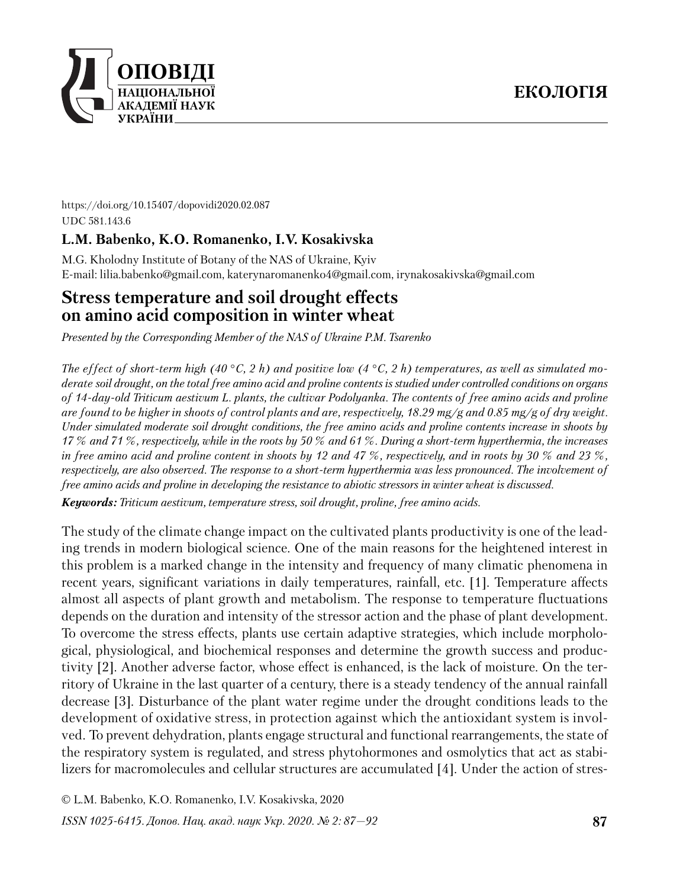

https://doi.org/10.15407/dopovidi2020.02.087 UDC 581.143.6

# **L.M. Babenko, K.O. Romanenko, I.V. Kosakivska**

M.G. Kholodny Institute of Botany of the NAS of Ukraine, Kyiv E-mail: lilia.babenko@gmail.com, katerynaromanenko4@gmail.com, irynakosakivska@gmail.com

# **Stress temperature and soil drought effects on amino acid composition in winter wheat**

*Presented by the Corresponding Member of the NAS of Ukraine P.M. Tsarenko*

*The effect of short-term high (40* °*C, 2 h) and positive low (4* °*C, 2 h) temperatures, as well as simulated moderate soil drought, on the total free amino acid and proline contents is studied under controlled conditions on organs of 14-day-old Triticum aestivum L. plants, the cultivar Podolyanka. The contents of free amino acids and proline are found to be higher in shoots of control plants and are, respectively, 18.29 mg/g and 0.85 mg/g of dry weight. Under simulated moderate soil drought conditions, the free amino acids and proline contents increase in shoots by 17 % and 71 %, respectively, while in the roots by 50 % and 61 %. During a short-term hyperthermia, the increases in free amino acid and proline content in shoots by 12 and 47 %, respectively, and in roots by 30 % and 23 %, respectively, are also observed. The response to a short-term hyperthermia was less pronounced. The involvement of free amino acids and proline in developing the resistance to abiotic stressors in winter wheat is discussed.*

*Keywords: Triticum aestivum, temperature stress, soil drought, proline, free amino acids.*

The study of the climate change impact on the cultivated plants productivity is one of the leading trends in modern biological science. One of the main reasons for the heightened interest in this problem is a marked change in the intensity and frequency of many climatic phenomena in recent years, significant variations in daily temperatures, rainfall, etc. [1]. Temperature affects almost all aspects of plant growth and metabolism. The response to temperature fluctuations depends on the duration and intensity of the stressor action and the phase of plant development. To overcome the stress effects, plants use certain adaptive strategies, which include morphological, physiological, and biochemical responses and determine the growth success and productivity [2]. Another adverse factor, whose effect is enhanced, is the lack of moisture. On the territory of Ukraine in the last quarter of a century, there is a steady tendency of the annual rainfall decrease [3]. Disturbance of the plant water regime under the drought conditions leads to the development of oxidative stress, in protection against which the antioxidant system is involved. To prevent dehydration, plants engage structural and functional rearrangements, the state of the respiratory system is regulated, and stress phytohormones and osmolytics that act as stabilizers for macromolecules and cellular structures are accumulated [4]. Under the action of stres-

© L.M. Babenko, K.O. Romanenko, I.V. Kosakivska, 2020

*ISSN 1025-6415. Допов. Нац. акад. наук Укр. 2020. № 2: 87—92*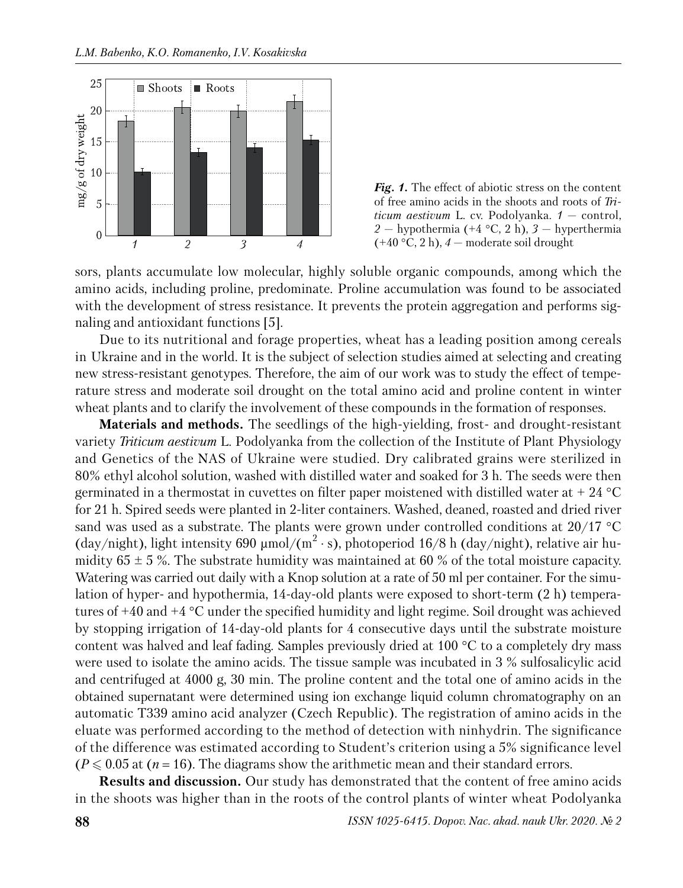



sors, plants accumulate low molecular, highly soluble organic compounds, among which the amino acids, including proline, predominate. Proline accumulation was found to be associated with the development of stress resistance. It prevents the protein aggregation and performs signaling and antioxidant functions [5].

Due to its nutritional and forage properties, wheat has a leading position among cereals in Ukraine and in the world. It is the subject of selection studies aimed at selecting and creating new stress-resistant genotypes. Therefore, the aim of our work was to study the effect of temperature stress and moderate soil drought on the total amino acid and proline content in winter wheat plants and to clarify the involvement of these compounds in the formation of responses.

**Materials and methods.** The seedlings of the high-yielding, frost- and drought-resistant variety *Triticum aestivum* L. Podolyanka from the collection of the Institute of Plant Physiology and Genetics of the NAS of Ukraine were studied. Dry calibrated grains were sterilized in 80% ethyl alcohol solution, washed with distilled water and soaked for 3 h. The seeds were then germinated in a thermostat in cuvettes on filter paper moistened with distilled water at  $+ 24$  °C for 21 h. Spired seeds were planted in 2-liter containers. Washed, deaned, roasted and dried river sand was used as a substrate. The plants were grown under controlled conditions at 20/17 °C (day/night), light intensity 690  $\mu$ mol/(m<sup>2</sup>·s), photoperiod 16/8 h (day/night), relative air humidity  $65 \pm 5$ %. The substrate humidity was maintained at 60 % of the total moisture capacity. Watering was carried out daily with a Knop solution at a rate of 50 ml per container. For the simulation of hyper- and hypothermia, 14-day-old plants were exposed to short-term (2 h) temperatures of +40 and +4 °C under the specified humidity and light regime. Soil drought was achieved by stopping irrigation of 14-day-old plants for 4 consecutive days until the substrate moisture content was halved and leaf fading. Samples previously dried at 100 °C to a completely dry mass were used to isolate the amino acids. The tissue sample was incubated in 3 % sulfosalicylic acid and centrifuged at 4000 g, 30 min. The proline content and the total one of amino acids in the obtained supernatant were determined using ion exchange liquid column chromatography on an automatic T339 amino acid analyzer (Czech Republic). The registration of amino acids in the eluate was performed according to the method of detection with ninhydrin. The significance of the difference was estimated according to Student's criterion using a 5% significance level  $(P \leq 0.05$  at  $(n = 16)$ . The diagrams show the arithmetic mean and their standard errors.

**Results and discussion.** Our study has demonstrated that the content of free amino acids in the shoots was higher than in the roots of the control plants of winter wheat Podolyanka

**88** *ISSN 1025-6415. Dopov. Nac. akad. nauk Ukr. 2020. № 2*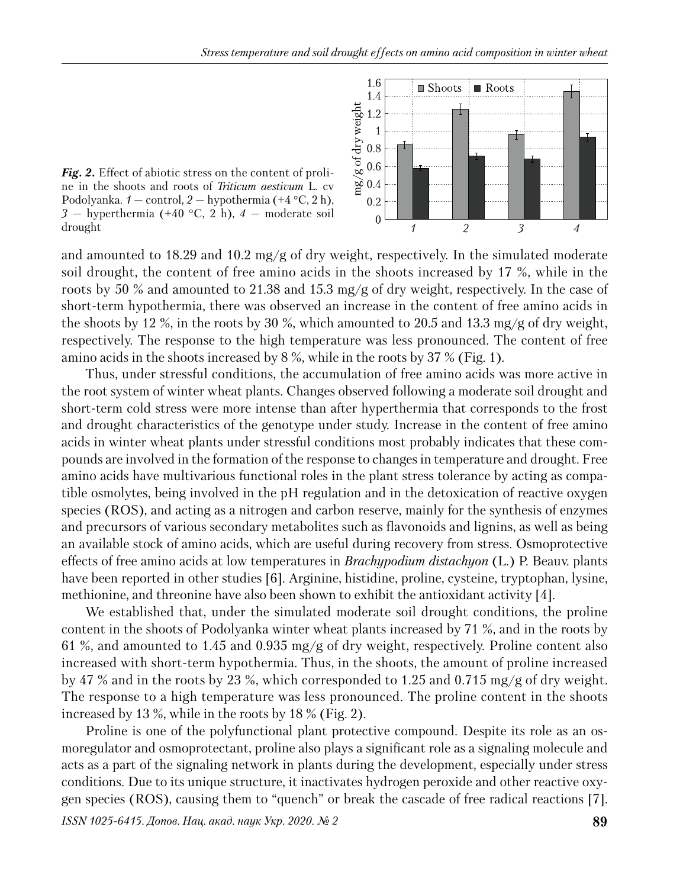

*Fig. 2.* Effect of abiotic stress on the content of proline in the shoots and roots of *Triticum aestivum* L. cv Podolyanka.  $1 - \text{control}, 2 - \text{hypothermia } (+4 \degree C, 2 \text{ h})$ , *3* — hyperthermia (+40 °C, 2 h), *4* — moderate soil drought

and amounted to 18.29 and 10.2 mg/g of dry weight, respectively. In the simulated moderate soil drought, the content of free amino acids in the shoots increased by 17 %, while in the roots by 50 % and amounted to 21.38 and 15.3 mg/g of dry weight, respectively. In the case of short-term hypothermia, there was observed an increase in the content of free amino acids in the shoots by 12 %, in the roots by 30 %, which amounted to 20.5 and 13.3 mg/g of dry weight, respectively. The response to the high temperature was less pronounced. The content of free amino acids in the shoots increased by 8 %, while in the roots by 37 % (Fig. 1).

Thus, under stressful conditions, the accumulation of free amino acids was more active in the root system of winter wheat plants. Changes observed following a moderate soil drought and short-term cold stress were more intense than after hyperthermia that corresponds to the frost and drought characteristics of the genotype under study. Increase in the content of free amino acids in winter wheat plants under stressful conditions most probably indicates that these compounds are involved in the formation of the response to changes in temperature and drought. Free amino acids have multivarious functional roles in the plant stress tolerance by acting as compatible osmolytes, being involved in the pH regulation and in the detoxication of reactive oxygen species (ROS), and acting as a nitrogen and carbon reserve, mainly for the synthesis of enzymes and precursors of various secondary metabolites such as flavonoids and lignins, as well as being an available stock of amino acids, which are useful during recovery from stress. Osmoprotective effects of free amino acids at low temperatures in *Brachypodium distachyon* (L.) P. Beauv. plants have been reported in other studies [6]. Arginine, histidine, proline, cysteine, tryptophan, lysine, methionine, and threonine have also been shown to exhibit the antioxidant activity [4].

We established that, under the simulated moderate soil drought conditions, the proline content in the shoots of Podolyanka winter wheat plants increased by 71 %, and in the roots by 61 %, and amounted to 1.45 and 0.935 mg/g of dry weight, respectively. Proline content also increased with short-term hypothermia. Thus, in the shoots, the amount of proline increased by 47 % and in the roots by 23 %, which corresponded to 1.25 and 0.715 mg/g of dry weight. The response to a high temperature was less pronounced. The proline content in the shoots increased by 13 %, while in the roots by 18 % (Fig. 2).

Proline is one of the polyfunctional plant protective compound. Despite its role as an osmoregulator and osmoprotectant, proline also plays a significant role as a signaling molecule and acts as a part of the signaling network in plants during the development, especially under stress conditions. Due to its unique structure, it inactivates hydrogen peroxide and other reactive oxygen species (ROS), causing them to "quench" or break the cascade of free radical reactions [7].

*ISSN 1025-6415. Допов. Нац. акад. наук Укр. 2020. № 2* **89**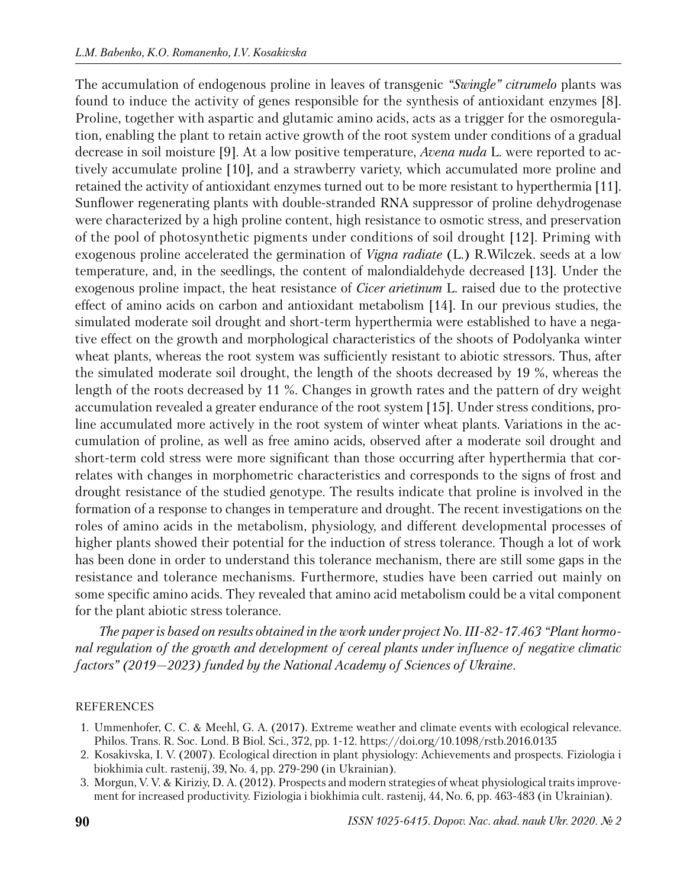The accumulation of endogenous proline in leaves of transgenic *"Swingle" citrumelo* plants was found to induce the activity of genes responsible for the synthesis of antioxidant enzymes [8]. Proline, together with aspartic and glutamic amino acids, acts as a trigger for the osmoregulation, enabling the plant to retain active growth of the root system under conditions of a gradual decrease in soil moisture [9]. At a low positive temperature, *Avena nuda* L. were reported to actively accumulate proline [10], and a strawberry variety, which accumulated more proline and retained the activity of antioxidant enzymes turned out to be more resistant to hyperthermia [11]. Sunflower regenerating plants with double-stranded RNA suppressor of proline dehydrogenase were characterized by a high proline content, high resistance to osmotic stress, and preservation of the pool of photosynthetic pigments under conditions of soil drought [12]. Priming with exogenous proline accelerated the germination of *Vigna radiate* (L.) R.Wilczek. seeds at a low temperature, and, in the seedlings, the content of malondialdehyde decreased [13]. Under the exogenous proline impact, the heat resistance of *Cicer arietinum* L. raised due to the protective effect of amino acids on carbon and antioxidant metabolism [14]. In our previous studies, the simulated moderate soil drought and short-term hyperthermia were established to have a negative effect on the growth and morphological characteristics of the shoots of Podolyanka winter wheat plants, whereas the root system was sufficiently resistant to abiotic stressors. Thus, after the simulated moderate soil drought, the length of the shoots decreased by 19 %, whereas the length of the roots decreased by 11 %. Changes in growth rates and the pattern of dry weight accumulation revealed a greater endurance of the root system [15]. Under stress conditions, proline accumulated more actively in the root system of winter wheat plants. Variations in the accumulation of proline, as well as free amino acids, observed after a moderate soil drought and short-term cold stress were more significant than those occurring after hyperthermia that correlates with changes in morphometric characteristics and corresponds to the signs of frost and drought resistance of the studied genotype. The results indicate that proline is involved in the formation of a response to changes in temperature and drought. The recent in vestigations on the roles of amino acids in the metabolism, physiology, and different developmental processes of higher plants showed their potential for the induction of stress tolerance. Though a lot of work has been done in order to understand this tolerance mechanism, there are still some gaps in the resistance and tolerance mechanisms. Furthermore, studies have been carried out mainly on some specific amino acids. They revealed that amino acid metabolism could be a vital component for the plant abiotic stress tolerance.

*The paper is based on results obtained in the work under project No. ІІІ-82-17.463 "Plant hormonal regulation of the growth and development of cereal plants under influence of negative climatic factors" (2019—2023) funded by the National Academy of Sciences of Ukraine.*

### REFERENCES

- 1. Ummenhofer, C. C. & Meehl, G. A. (2017). Extreme weather and climate events with ecological relevance. Philos. Trans. R. Soc. Lond. B Biol. Sci., 372, pp. 1-12. https://doi.org/10.1098/rstb.2016.0135
- 2. Kosakivska, I. V. (2007). Ecological direction in plant physiology: Achievements and prospects. Fiziologia i biokhimia cult. rastenij, 39, No. 4, pp. 279-290 (in Ukrainian).
- 3. Morgun, V. V. & Kiriziy, D. A. (2012). Prospects and modern strategies of wheat physiological traits improvement for increased productivity. Fiziologia i biokhimia cult. rastenij, 44, No. 6, pp. 463-483 (in Ukrainian).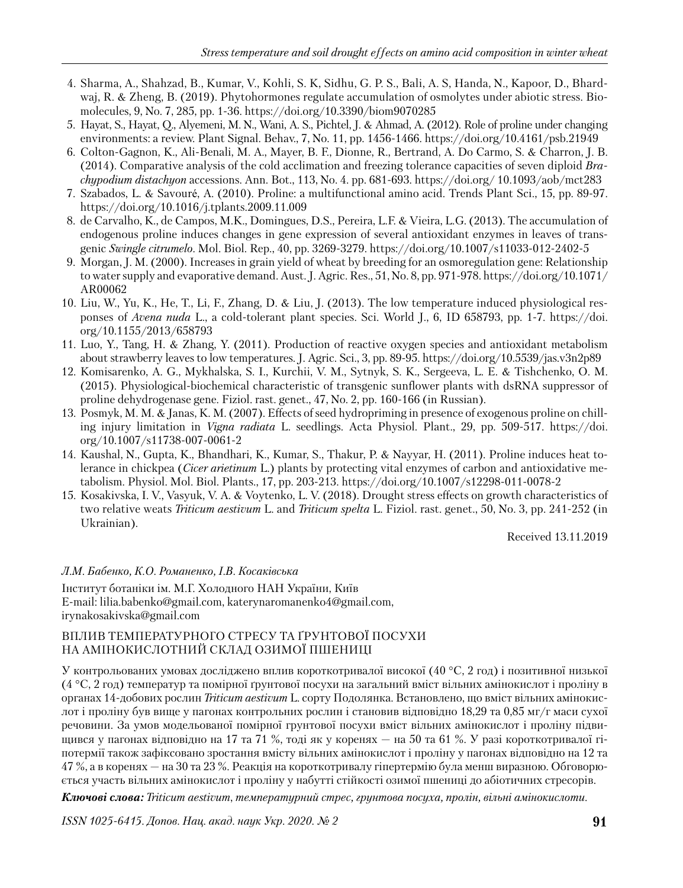- 4. Sharma, А., Shahzad, В., Kumar, V., Kohli, S. K, Sidhu, G. P. S., Bali, A. S, Handa, N., Kapoor, D., Bhardwaj, R. & Zheng, B. (2019). Phytohormones regulate accumulation of osmolytes under abiotic stress. Biomo lecules, 9, No. 7, 285, pp. 1-36. https://doi.org/10.3390/biom9070285
- 5. Hayat, S., Hayat, Q., Alyemeni, M. N., Wani, A. S., Pichtel, J. & Ahmad, A. (2012). Role of proline under changing environments: a review. Plant Signal. Behav., 7, No. 11, pp. 1456-1466. https://doi.org/10.4161/psb.21949
- 6. Colton-Gagnon, K., Ali-Benali, M. A., Mayer, B. F., Dionne, R., Bertrand, A. Do Carmo, S. & Charron, J. B. (2014). Comparative analysis of the cold acclimation and freezing tolerance capacities of seven diploid *Brachypodium distachyon* accessions. Ann. Bot., 113, No. 4. pp. 681-693. https://doi.org/ 10.1093/aob/mct283
- 7. Szabados, L. & Savouré, A. (2010). Proline: a multifunctional amino acid. Trends Plant Sci., 15, pp. 89-97. https://doi.org/10.1016/j.tplants.2009.11.009
- 8. de Carvalho, K., de Campos, M.K., Domingues, D.S., Pereira, L.F. & Vieira, L.G*.* (2013). The accumulation of endogenous proline induces changes in gene expression of several antioxidant enzymes in leaves of transgenic *Swingle citrumelo*. Mol. Biol. Rep., 40, pp. 3269-3279. https://doi.org/10.1007/s11033-012-2402-5
- 9. Morgan, J. M. (2000). Increases in grain yield of wheat by breeding for an osmoregulation gene: Relationship to water supply and evaporative demand. Aust. J. Agric. Res., 51, No. 8, pp. 971-978. https://doi.org/10.1071/ AR00062
- 10. Liu, W., Yu, K., He, T., Li, F., Zhang, D. & Liu, J. (2013). The low temperature induced physiological responses of *Avena nuda* L., a cold-tolerant plant species. Sci. World J., 6, ID 658793, pp. 1-7. https://doi. org/10.1155/2013/658793
- 11. Luo, Y., Tang, H. & Zhang, Y. (2011). Production of reactive oxygen species and antioxidant metabolism about strawberry leaves to low temperatures. J. Agric. Sci., 3, pp. 89-95. https://doi.org/10.5539/jas.v3n2p89
- 12. Komisarenko, A. G., Mykhalska, S. I., Kurchii, V. M., Sytnyk, S. K., Sergeeva, L. E. & Tishchenko, O. M. (2015). Physiological-biochemical characteristic of transgenic sunflower plants with dsRNA suppressor of proline dehydrogenase gene. Fiziol. rast. genet., 47, No. 2, pp. 160-166 (in Russian).
- 13. Posmyk, M. M. & Janas, K. M. (2007). Effects of seed hydropriming in presence of exogenous proline on chilling injury limitation in *Vigna radiata* L. seedlings. Acta Physiol. Plant., 29, pp. 509-517. https://doi. org/10.1007/s11738-007-0061-2
- 14. Kaushal, N., Gupta, K., Bhandhari, K., Kumar, S., Thakur, P. & Nayyar, H. (2011). Proline induces heat tolerance in chickpea (*Cicer arietinum* L.) plants by protecting vital enzymes of carbon and antioxidative metabolism. Physiol. Mol. Biol. Plants., 17, pp. 203-213. https://doi.org/10.1007/s12298-011-0078-2
- 15. Kosakivska, I. V., Vasyuk, V. A. & Voytenko, L. V. (2018). Drought stress effects on growth characteristics of two relative weats *Triticum aestivum* L. and *Triticum spelta* L. Fiziol. rast. genet., 50, No. 3, pp. 241-252 (in Ukrainian).

Received 13.11.2019

# *Л.М. Бабенко, К.О. Романенко, І.В. Косаківська*

Інститут ботаніки ім. М.Г. Холодного НАН України, Київ E-mail: lilia.babenko@gmail.com, katerynaromanenko4@gmail.com, irynakosakivska@gmail.com

# ВПЛИВ ТЕМПЕРАТУРНОГО СТРЕСУ ТА ҐРУНТОВОЇ ПОСУХИ НА АМІНОКИСЛОТНИЙ СКЛАД ОЗИМОЇ ПШЕНИЦІ

У контрольованих умовах досліджено вплив короткотривалої високої (40 °С, 2 год) і позитивної низької (4 °C, 2 год) температур та помірної ґрунтової посухи на загальний вміст вільних амінокислот і проліну в органах 14-добових рослин *Triticum aestivum* L. сорту По долянка. Встановлено, що вміст вільних амінокислот і проліну був вище у пагонах контрольних рослин і становив відповідно 18,29 та 0,85 мг/г маси сухої речовини. За умов модельованої помірної грунтової посухи вміст вільних амінокислот і проліну підвищився у пагонах відповідно на 17 та 71 %, тоді як у коренях — на 50 та 61 %. У разі короткотривалої гіпотермії також зафіксовано зростання вмісту вільних амінокислот і проліну у пагонах відповідно на 12 та  $47\,\%$ , а в коренях — на 30 та 23 %. Реакція на короткотривалу гіпертермію була менш виразною. Обговорюється участь вільних амінокислот і проліну у набутті стійкості озимої пшениці до абіотичних стресорів.

*Ключові слова: Triticum aestivum*, *температурний стрес, грунтова посуха, пролін, вільні амінокислоти.*

*ISSN 1025-6415. Допов. Нац. акад. наук Укр. 2020. № 2* **91**